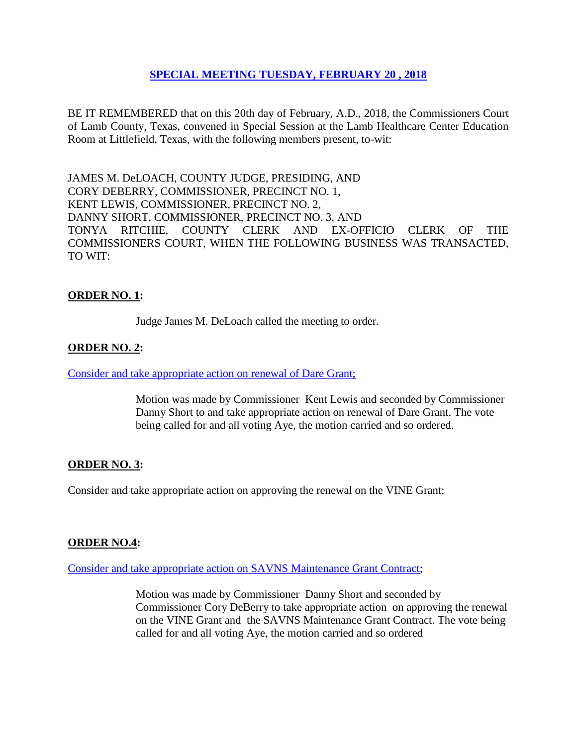# **SPECIAL MEETING [TUESDAY, FEBRUARY 20](Links%202018-02-20-Special/01%20AGENDA%20SPECIAL%20MEETING-FEBRUARY%2020,%202018.pdf) , 2018**

BE IT REMEMBERED that on this 20th day of February, A.D., 2018, the Commissioners Court of Lamb County, Texas, convened in Special Session at the Lamb Healthcare Center Education Room at Littlefield, Texas, with the following members present, to-wit:

JAMES M. DeLOACH, COUNTY JUDGE, PRESIDING, AND CORY DEBERRY, COMMISSIONER, PRECINCT NO. 1, KENT LEWIS, COMMISSIONER, PRECINCT NO. 2, DANNY SHORT, COMMISSIONER, PRECINCT NO. 3, AND TONYA RITCHIE, COUNTY CLERK AND EX-OFFICIO CLERK OF THE COMMISSIONERS COURT, WHEN THE FOLLOWING BUSINESS WAS TRANSACTED, TO WIT:

# **ORDER NO. 1:**

Judge James M. DeLoach called the meeting to order.

### **ORDER NO. 2:**

#### [Consider and take appropriate action on renewal of Dare Grant;](Links%202018-02-20-Special/03%20RENEWAL%20DARE%20GRANT-%20SPECIAL%20MEETING-FEBRUARY%2020,%202018.pdf)

Motion was made by Commissioner Kent Lewis and seconded by Commissioner Danny Short to and take appropriate action on renewal of Dare Grant. The vote being called for and all voting Aye, the motion carried and so ordered.

### **ORDER NO. 3:**

Consider and take appropriate action on approving the renewal on the VINE Grant;

### **ORDER NO.4:**

### [Consider and take appropriate action on SAVNS Maintenance Grant Contract;](Links%202018-02-20-Special/04%20SAVNS%20MAINTENANCE%20GRANT%20CONTRACT-%20SPECIAL%20MEETING-FEBRUARY%2020,%202018.pdf)

Motion was made by Commissioner Danny Short and seconded by Commissioner Cory DeBerry to take appropriate action on approving the renewal on the VINE Grant and the SAVNS Maintenance Grant Contract. The vote being called for and all voting Aye, the motion carried and so ordered